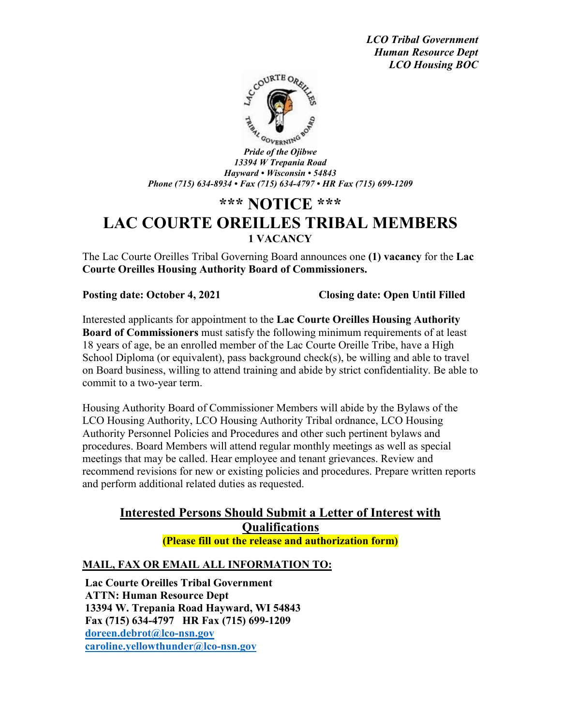*LCO Tribal Government Human Resource Dept LCO Housing BOC*



*Pride of the Ojibwe 13394 W Trepania Road Hayward • Wisconsin • 54843 Phone (715) 634-8934 • Fax (715) 634-4797 • HR Fax (715) 699-1209*

# **\*\*\* NOTICE \*\*\* LAC COURTE OREILLES TRIBAL MEMBERS 1 VACANCY**

The Lac Courte Oreilles Tribal Governing Board announces one **(1) vacancy** for the **Lac Courte Oreilles Housing Authority Board of Commissioners.**

**Posting date: October 4, 2021 Closing date: Open Until Filled**

Interested applicants for appointment to the **Lac Courte Oreilles Housing Authority Board of Commissioners** must satisfy the following minimum requirements of at least 18 years of age, be an enrolled member of the Lac Courte Oreille Tribe, have a High School Diploma (or equivalent), pass background check(s), be willing and able to travel on Board business, willing to attend training and abide by strict confidentiality. Be able to commit to a two-year term.

Housing Authority Board of Commissioner Members will abide by the Bylaws of the LCO Housing Authority, LCO Housing Authority Tribal ordnance, LCO Housing Authority Personnel Policies and Procedures and other such pertinent bylaws and procedures. Board Members will attend regular monthly meetings as well as special meetings that may be called. Hear employee and tenant grievances. Review and recommend revisions for new or existing policies and procedures. Prepare written reports and perform additional related duties as requested.

## **Interested Persons Should Submit a Letter of Interest with Qualifications (Please fill out the release and authorization form)**

### **MAIL, FAX OR EMAIL ALL INFORMATION TO:**

**Lac Courte Oreilles Tribal Government ATTN: Human Resource Dept 13394 W. Trepania Road Hayward, WI 54843 Fax (715) 634-4797 HR Fax (715) 699-1209 [doreen.debrot@lco-nsn.gov](mailto:doreen.debrot@lco-nsn.gov) [caroline.yellowthunder@lco-nsn.gov](mailto:caroline.yellowthunder@lco-nsn.gov)**